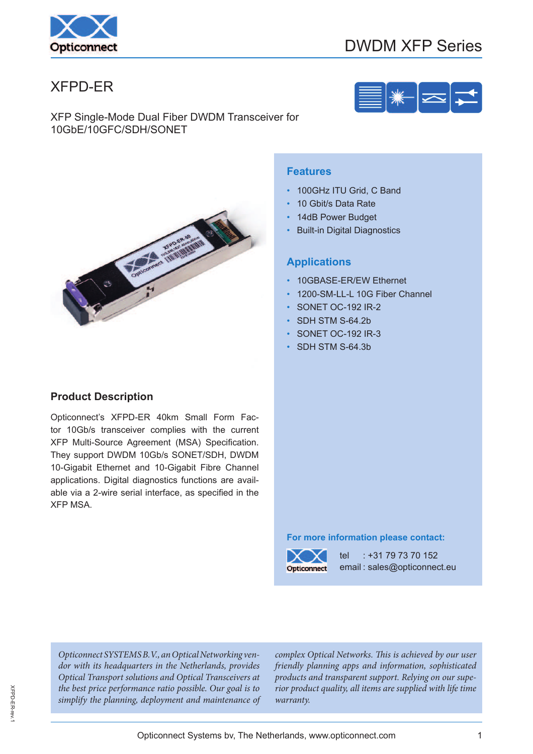

# DWDM XFP Series

# XFPD-ER

XFP Single-Mode Dual Fiber DWDM Transceiver for 10GbE/10GFC/SDH/SONET



### **Product Description**

Opticonnect's XFPD-ER 40km Small Form Factor 10Gb/s transceiver complies with the current XFP Multi-Source Agreement (MSA) Specification. They support DWDM 10Gb/s SONET/SDH, DWDM 10-Gigabit Ethernet and 10-Gigabit Fibre Channel applications. Digital diagnostics functions are available via a 2-wire serial interface, as specified in the XFP MSA.

#### **Features**

- 100GHz ITU Grid, C Band
- 10 Gbit/s Data Rate
- 14dB Power Budget
- **Built-in Digital Diagnostics**

#### **Applications**

- 10GBASE-ER/EW Ethernet
- 1200-SM-LL-L 10G Fiber Channel
- SONET OC-192 IR-2
- SDH STM S-64.2b
- SONET OC-192 IR-3
- SDH STM S-64.3b

#### **For more information please contact:**



tel : +31 79 73 70 152 email : sales@opticonnect.eu

Opticonnect SYSTEMS B.V., an Optical Networking vendor with its headquarters in the Netherlands, provides Optical Transport solutions and Optical Transceivers at the best price performance ratio possible. Our goal is to simplify the planning, deployment and maintenance of

complex Optical Networks. This is achieved by our user friendly planning apps and information, sophisticated products and transparent support. Relying on our superior product quality, all items are supplied with life time warranty.

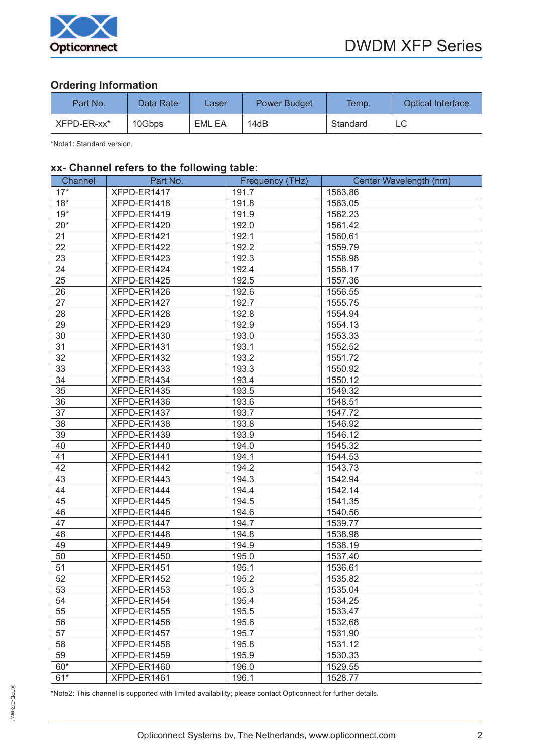

# **Ordering Information**

| Part No.    | Data Rate | Laser  | <b>Power Budget</b> | Temp.    | <b>Optical Interface</b> |
|-------------|-----------|--------|---------------------|----------|--------------------------|
| XFPD-ER-xx* | 10Gbps    | EML EA | 14dB                | Standard |                          |

\*Note1: Standard version.

#### **xx- Channel refers to the following table:**

| Channel | Part No.    | Frequency (THz) | Center Wavelength (nm) |
|---------|-------------|-----------------|------------------------|
| $17*$   | XFPD-ER1417 | 191.7           | 1563.86                |
| $18*$   | XFPD-ER1418 | 191.8           | 1563.05                |
| $19*$   | XFPD-ER1419 | 191.9           | 1562.23                |
| $20*$   | XFPD-ER1420 | 192.0           | 1561.42                |
| 21      | XFPD-ER1421 | 192.1           | 1560.61                |
| 22      | XFPD-ER1422 | 192.2           | 1559.79                |
| 23      | XFPD-ER1423 | 192.3           | 1558.98                |
| 24      | XFPD-ER1424 | 192.4           | 1558.17                |
| 25      | XFPD-ER1425 | 192.5           | 1557.36                |
| 26      | XFPD-ER1426 | 192.6           | 1556.55                |
| 27      | XFPD-ER1427 | 192.7           | 1555.75                |
| 28      | XFPD-ER1428 | 192.8           | 1554.94                |
| 29      | XFPD-ER1429 | 192.9           | 1554.13                |
| 30      | XFPD-ER1430 | 193.0           | 1553.33                |
| 31      | XFPD-ER1431 | 193.1           | 1552.52                |
| 32      | XFPD-ER1432 | 193.2           | 1551.72                |
| 33      | XFPD-ER1433 | 193.3           | 1550.92                |
| 34      | XFPD-ER1434 | 193.4           | 1550.12                |
| 35      | XFPD-ER1435 | 193.5           | 1549.32                |
| 36      | XFPD-ER1436 | 193.6           | 1548.51                |
| 37      | XFPD-ER1437 | 193.7           | 1547.72                |
| 38      | XFPD-ER1438 | 193.8           | 1546.92                |
| 39      | XFPD-ER1439 | 193.9           | 1546.12                |
| 40      | XFPD-ER1440 | 194.0           | 1545.32                |
| 41      | XFPD-ER1441 | 194.1           | 1544.53                |
| 42      | XFPD-ER1442 | 194.2           | 1543.73                |
| 43      | XFPD-ER1443 | 194.3           | 1542.94                |
| 44      | XFPD-ER1444 | 194.4           | 1542.14                |
| 45      | XFPD-ER1445 | 194.5           | 1541.35                |
| 46      | XFPD-ER1446 | 194.6           | 1540.56                |
| 47      | XFPD-ER1447 | 194.7           | 1539.77                |
| 48      | XFPD-ER1448 | 194.8           | 1538.98                |
| 49      | XFPD-ER1449 | 194.9           | 1538.19                |
| 50      | XFPD-ER1450 | 195.0           | 1537.40                |
| 51      | XFPD-ER1451 | 195.1           | 1536.61                |
| 52      | XFPD-ER1452 | 195.2           | 1535.82                |
| 53      | XFPD-ER1453 | 195.3           | 1535.04                |
| 54      | XFPD-ER1454 | 195.4           | 1534.25                |
| 55      | XFPD-ER1455 | 195.5           | 1533.47                |
| 56      | XFPD-ER1456 | 195.6           | 1532.68                |
| 57      | XFPD-ER1457 | 195.7           | 1531.90                |
| 58      | XFPD-ER1458 | 195.8           | 1531.12                |
| 59      | XFPD-ER1459 | 195.9           | 1530.33                |
| $60*$   | XFPD-ER1460 | 196.0           | 1529.55                |
| $61*$   | XFPD-ER1461 | 196.1           | 1528.77                |

XFPD-ER-rev.1 XFPD-ER-rev.1

\*Note2: This channel is supported with limited availability; please contact Opticonnect for further details.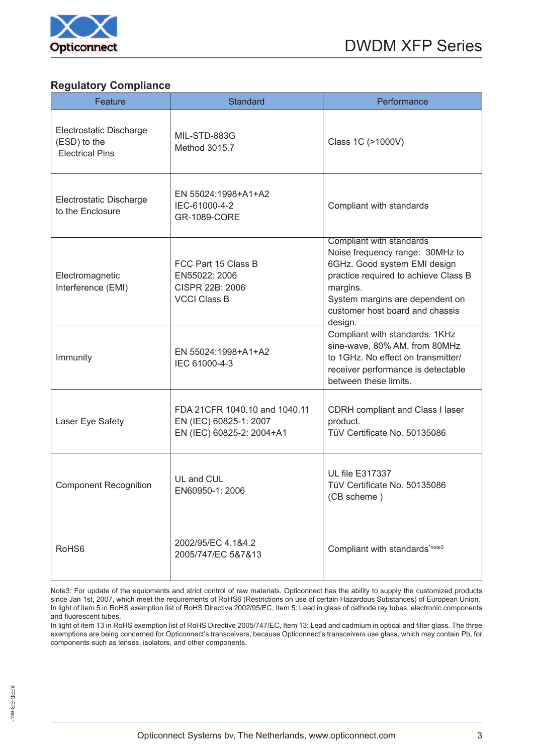

#### **Regulatory Compliance**

| Feature                                                           | <b>Standard</b>                                                                      | Performance                                                                                                                                                                                                                      |
|-------------------------------------------------------------------|--------------------------------------------------------------------------------------|----------------------------------------------------------------------------------------------------------------------------------------------------------------------------------------------------------------------------------|
| Electrostatic Discharge<br>(ESD) to the<br><b>Electrical Pins</b> | MIL-STD-883G<br>Method 3015.7                                                        | Class 1C (>1000V)                                                                                                                                                                                                                |
| Electrostatic Discharge<br>to the Enclosure                       | EN 55024:1998+A1+A2<br>IEC-61000-4-2<br><b>GR-1089-CORE</b>                          | Compliant with standards                                                                                                                                                                                                         |
| Electromagnetic<br>Interference (EMI)                             | FCC Part 15 Class B<br>EN55022: 2006<br>CISPR 22B: 2006<br><b>VCCI Class B</b>       | Compliant with standards<br>Noise frequency range: 30MHz to<br>6GHz. Good system EMI design<br>practice required to achieve Class B<br>margins.<br>System margins are dependent on<br>customer host board and chassis<br>design. |
| Immunity                                                          | EN 55024:1998+A1+A2<br>IEC 61000-4-3                                                 | Compliant with standards. 1KHz<br>sine-wave, 80% AM, from 80MHz<br>to 1GHz. No effect on transmitter/<br>receiver performance is detectable<br>between these limits.                                                             |
| Laser Eye Safety                                                  | FDA 21CFR 1040.10 and 1040.11<br>EN (IEC) 60825-1: 2007<br>EN (IEC) 60825-2: 2004+A1 | CDRH compliant and Class I laser<br>product.<br>TüV Certificate No. 50135086                                                                                                                                                     |
| <b>Component Recognition</b>                                      | UL and CUL<br>EN60950-1: 2006                                                        | <b>UL file E317337</b><br>TüV Certificate No. 50135086<br>(CB scheme)                                                                                                                                                            |
| RoHS <sub>6</sub>                                                 | 2002/95/EC 4.1&4.2<br>2005/747/EC 5&7&13                                             | Compliant with standards*note3                                                                                                                                                                                                   |

Note3: For update of the equipments and strict control of raw materials, Opticonnect has the ability to supply the customized products since Jan 1st, 2007, which meet the requirements of RoHS6 (Restrictions on use of certain Hazardous Substances) of European Union. In light of item 5 in RoHS exemption list of RoHS Directive 2002/95/EC, Item 5: Lead in glass of cathode ray tubes, electronic components and fluorescent tubes.

In light of item 13 in RoHS exemption list of RoHS Directive 2005/747/EC, Item 13: Lead and cadmium in optical and filter glass. The three exemptions are being concerned for Opticonnect's transceivers, because Opticonnect's transceivers use glass, which may contain Pb, for components such as lenses, isolators, and other components.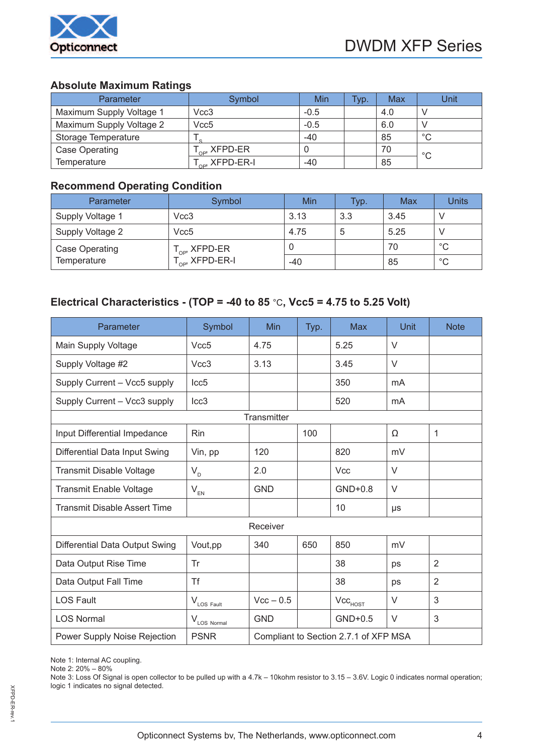

# **Absolute Maximum Ratings**

| Parameter                | Symbol                     | Min    | Typ. | Max | Unit        |
|--------------------------|----------------------------|--------|------|-----|-------------|
| Maximum Supply Voltage 1 | Vcc3                       | $-0.5$ |      | 4.0 |             |
| Maximum Supply Voltage 2 | Vcc5                       | $-0.5$ |      | 6.0 |             |
| Storage Temperature      |                            | -40    |      | 85  | °С          |
| Case Operating           | $T_{\text{op}}$ , XFPD-ER  | U      |      | 70  |             |
| Temperature              | $T_{\text{cos}}$ XFPD-ER-I | -40    |      | 85  | $^{\circ}C$ |

### **Recommend Operating Condition**

| Parameter             | Symbol                      | Min   | Typ. | Max  | <b>Units</b> |
|-----------------------|-----------------------------|-------|------|------|--------------|
| Supply Voltage 1      | Vcc3                        | 3.13  | 3.3  | 3.45 |              |
| Supply Voltage 2      | Vcc5                        | 4.75  | 5    | 5.25 |              |
| <b>Case Operating</b> | $T_{\text{OP}}$ , XFPD-ER   | υ     |      | 70   | $^{\circ}C$  |
| Temperature           | $T_{\text{op}}$ , XFPD-ER-I | $-40$ |      | 85   | $^{\circ}C$  |

# **Electrical Characteristics - (TOP = -40 to 85** °C**, Vcc5 = 4.75 to 5.25 Volt)**

| Parameter                           | Symbol                         | Min                                   | Typ. | <b>Max</b>                   | Unit    | <b>Note</b> |  |
|-------------------------------------|--------------------------------|---------------------------------------|------|------------------------------|---------|-------------|--|
| Main Supply Voltage                 | Vcc5                           | 4.75                                  |      | 5.25                         | $\vee$  |             |  |
| Supply Voltage #2                   | Vcc <sub>3</sub>               | 3.13                                  |      | 3.45                         | $\vee$  |             |  |
| Supply Current - Vcc5 supply        | Icc <sub>5</sub>               |                                       |      | 350                          | mA      |             |  |
| Supply Current - Vcc3 supply        | Icc <sub>3</sub>               |                                       |      | 520                          | mA      |             |  |
|                                     |                                | Transmitter                           |      |                              |         |             |  |
| Input Differential Impedance        | Rin                            |                                       | 100  |                              | Ω       | 1           |  |
| Differential Data Input Swing       | Vin, pp                        | 120                                   |      | 820                          | mV      |             |  |
| Transmit Disable Voltage            | $V_{D}$                        | 2.0                                   |      | <b>Vcc</b>                   | $\vee$  |             |  |
| <b>Transmit Enable Voltage</b>      | $V_{EN}$                       | <b>GND</b>                            |      | $GND+0.8$                    | V       |             |  |
| <b>Transmit Disable Assert Time</b> |                                |                                       |      | 10                           | $\mu s$ |             |  |
| Receiver                            |                                |                                       |      |                              |         |             |  |
| Differential Data Output Swing      | Vout, pp                       | 340                                   | 650  | 850                          | mV      |             |  |
| Data Output Rise Time               | Tr                             |                                       |      | 38                           | ps      | 2           |  |
| Data Output Fall Time               | <b>Tf</b>                      |                                       |      | 38                           | ps      | 2           |  |
| <b>LOS Fault</b>                    | $V_{\text{LOS} \text{ Fault}}$ | $Vcc - 0.5$                           |      | $\mathsf{Vcc}_\mathsf{HOST}$ | $\vee$  | 3           |  |
| <b>LOS Normal</b>                   | $V_{\text{LOS Normal}}$        | <b>GND</b>                            |      | $GND+0.5$                    | $\vee$  | 3           |  |
| Power Supply Noise Rejection        | <b>PSNR</b>                    | Compliant to Section 2.7.1 of XFP MSA |      |                              |         |             |  |

Note 1: Internal AC coupling.

Note 2: 20% – 80%

Note 3: Loss Of Signal is open collector to be pulled up with a 4.7k – 10kohm resistor to 3.15 – 3.6V. Logic 0 indicates normal operation; logic 1 indicates no signal detected.